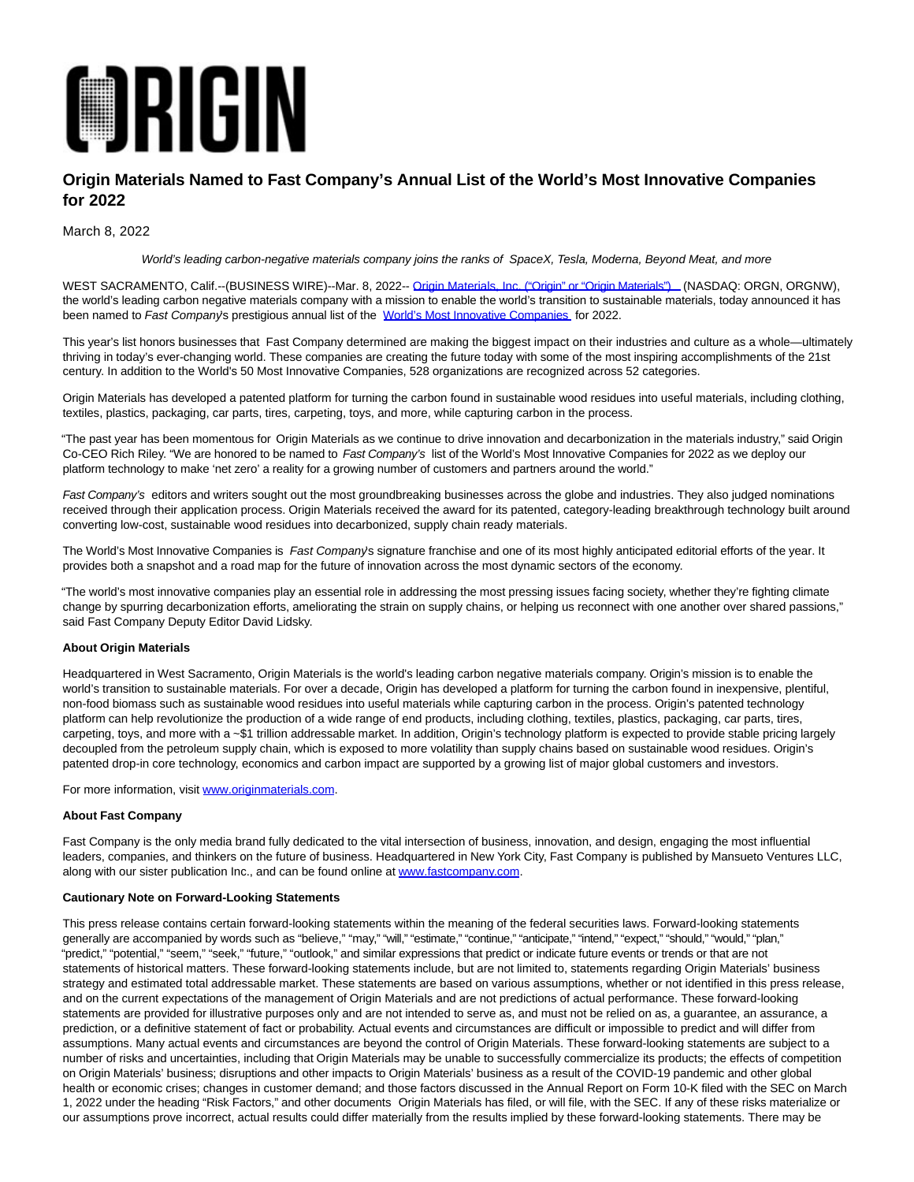

# **Origin Materials Named to Fast Company's Annual List of the World's Most Innovative Companies for 2022**

## March 8, 2022

World's leading carbon-negative materials company joins the ranks of SpaceX, Tesla, Moderna, Beyond Meat, and more

WEST SACRAMENTO, Calif.--(BUSINESS WIRE)--Mar. 8, 2022-- [Origin Materials, Inc. \("Origin" or "Origin Materials"\) \(](https://cts.businesswire.com/ct/CT?id=smartlink&url=https%3A%2F%2Fwww.originmaterials.com%2F&esheet=52591156&newsitemid=20220308005473&lan=en-US&anchor=Origin+Materials%2C+Inc.+%28%26%238220%3BOrigin%26%238221%3B+or+%26%238220%3BOrigin+Materials%26%238221%3B%29&index=1&md5=519ed91b4354d1538251e0233b5b43dd)NASDAQ: ORGN, ORGNW), the world's leading carbon negative materials company with a mission to enable the world's transition to sustainable materials, today announced it has been named to Fast Company's prestigious annual list of the World's Most Innovative Companies, for 2022.

This year's list honors businesses that Fast Company determined are making the biggest impact on their industries and culture as a whole—ultimately thriving in today's ever-changing world. These companies are creating the future today with some of the most inspiring accomplishments of the 21st century. In addition to the World's 50 Most Innovative Companies, 528 organizations are recognized across 52 categories.

Origin Materials has developed a patented platform for turning the carbon found in sustainable wood residues into useful materials, including clothing, textiles, plastics, packaging, car parts, tires, carpeting, toys, and more, while capturing carbon in the process.

"The past year has been momentous for Origin Materials as we continue to drive innovation and decarbonization in the materials industry," said Origin Co-CEO Rich Riley. "We are honored to be named to Fast Company's list of the World's Most Innovative Companies for 2022 as we deploy our platform technology to make 'net zero' a reality for a growing number of customers and partners around the world."

Fast Company's editors and writers sought out the most groundbreaking businesses across the globe and industries. They also judged nominations received through their application process. Origin Materials received the award for its patented, category-leading breakthrough technology built around converting low-cost, sustainable wood residues into decarbonized, supply chain ready materials.

The World's Most Innovative Companies is Fast Company's signature franchise and one of its most highly anticipated editorial efforts of the year. It provides both a snapshot and a road map for the future of innovation across the most dynamic sectors of the economy.

"The world's most innovative companies play an essential role in addressing the most pressing issues facing society, whether they're fighting climate change by spurring decarbonization efforts, ameliorating the strain on supply chains, or helping us reconnect with one another over shared passions," said Fast Company Deputy Editor David Lidsky.

### **About Origin Materials**

Headquartered in West Sacramento, Origin Materials is the world's leading carbon negative materials company. Origin's mission is to enable the world's transition to sustainable materials. For over a decade, Origin has developed a platform for turning the carbon found in inexpensive, plentiful, non-food biomass such as sustainable wood residues into useful materials while capturing carbon in the process. Origin's patented technology platform can help revolutionize the production of a wide range of end products, including clothing, textiles, plastics, packaging, car parts, tires, carpeting, toys, and more with a ~\$1 trillion addressable market. In addition, Origin's technology platform is expected to provide stable pricing largely decoupled from the petroleum supply chain, which is exposed to more volatility than supply chains based on sustainable wood residues. Origin's patented drop-in core technology, economics and carbon impact are supported by a growing list of major global customers and investors.

For more information, visit [www.originmaterials.com.](https://cts.businesswire.com/ct/CT?id=smartlink&url=http%3A%2F%2Fwww.originmaterials.com&esheet=52591156&newsitemid=20220308005473&lan=en-US&anchor=www.originmaterials.com&index=3&md5=ca479783b04626e51345368fcefaa1d6)

#### **About Fast Company**

Fast Company is the only media brand fully dedicated to the vital intersection of business, innovation, and design, engaging the most influential leaders, companies, and thinkers on the future of business. Headquartered in New York City, Fast Company is published by Mansueto Ventures LLC, along with our sister publication Inc., and can be found online a[t www.fastcompany.com.](https://cts.businesswire.com/ct/CT?id=smartlink&url=http%3A%2F%2Fwww.fastcompany.com&esheet=52591156&newsitemid=20220308005473&lan=en-US&anchor=www.fastcompany.com&index=4&md5=ef7a26b9306ddc386f15c90c3168ba22)

#### **Cautionary Note on Forward-Looking Statements**

This press release contains certain forward-looking statements within the meaning of the federal securities laws. Forward-looking statements generally are accompanied by words such as "believe," "may," "will," "estimate," "continue," "anticipate," "intend," "expect," "should," "would," "plan," "predict," "potential," "seem," "seek," "future," "outlook," and similar expressions that predict or indicate future events or trends or that are not statements of historical matters. These forward-looking statements include, but are not limited to, statements regarding Origin Materials' business strategy and estimated total addressable market. These statements are based on various assumptions, whether or not identified in this press release, and on the current expectations of the management of Origin Materials and are not predictions of actual performance. These forward-looking statements are provided for illustrative purposes only and are not intended to serve as, and must not be relied on as, a quarantee, an assurance, a prediction, or a definitive statement of fact or probability. Actual events and circumstances are difficult or impossible to predict and will differ from assumptions. Many actual events and circumstances are beyond the control of Origin Materials. These forward-looking statements are subject to a number of risks and uncertainties, including that Origin Materials may be unable to successfully commercialize its products; the effects of competition on Origin Materials' business; disruptions and other impacts to Origin Materials' business as a result of the COVID-19 pandemic and other global health or economic crises; changes in customer demand; and those factors discussed in the Annual Report on Form 10-K filed with the SEC on March 1, 2022 under the heading "Risk Factors," and other documents Origin Materials has filed, or will file, with the SEC. If any of these risks materialize or our assumptions prove incorrect, actual results could differ materially from the results implied by these forward-looking statements. There may be